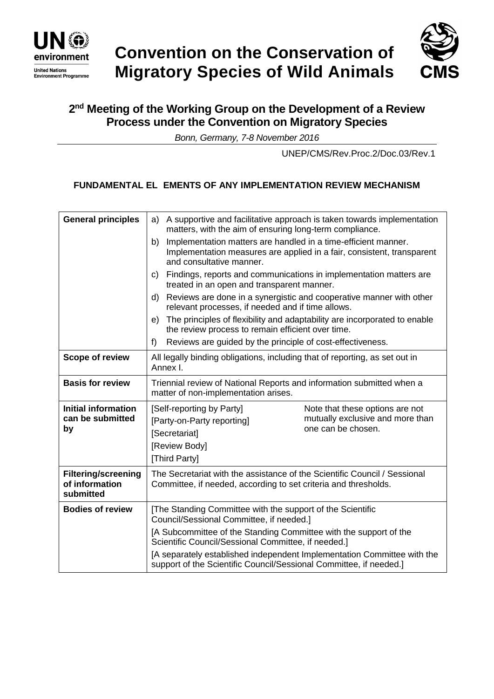



# **2 nd Meeting of the Working Group on the Development of a Review Process under the Convention on Migratory Species**

*Bonn, Germany, 7-8 November 2016*

UNEP/CMS/Rev.Proc.2/Doc.03/Rev.1

# **FUNDAMENTAL EL EMENTS OF ANY IMPLEMENTATION REVIEW MECHANISM**

| <b>General principles</b>                                 | A supportive and facilitative approach is taken towards implementation<br>a)<br>matters, with the aim of ensuring long-term compliance.                                                                 |
|-----------------------------------------------------------|---------------------------------------------------------------------------------------------------------------------------------------------------------------------------------------------------------|
|                                                           | Implementation matters are handled in a time-efficient manner.<br>b)<br>Implementation measures are applied in a fair, consistent, transparent<br>and consultative manner.                              |
|                                                           | Findings, reports and communications in implementation matters are<br>C)<br>treated in an open and transparent manner.                                                                                  |
|                                                           | Reviews are done in a synergistic and cooperative manner with other<br>d)<br>relevant processes, if needed and if time allows.                                                                          |
|                                                           | The principles of flexibility and adaptability are incorporated to enable<br>e)<br>the review process to remain efficient over time.                                                                    |
|                                                           | Reviews are guided by the principle of cost-effectiveness.<br>f)                                                                                                                                        |
| <b>Scope of review</b>                                    | All legally binding obligations, including that of reporting, as set out in<br>Annex I.                                                                                                                 |
| <b>Basis for review</b>                                   | Triennial review of National Reports and information submitted when a<br>matter of non-implementation arises.                                                                                           |
| <b>Initial information</b><br>can be submitted<br>by      | [Self-reporting by Party]<br>Note that these options are not<br>mutually exclusive and more than<br>[Party-on-Party reporting]<br>one can be chosen.<br>[Secretariat]<br>[Review Body]<br>[Third Party] |
| <b>Filtering/screening</b><br>of information<br>submitted | The Secretariat with the assistance of the Scientific Council / Sessional<br>Committee, if needed, according to set criteria and thresholds.                                                            |
| <b>Bodies of review</b>                                   | [The Standing Committee with the support of the Scientific<br>Council/Sessional Committee, if needed.]                                                                                                  |
|                                                           | [A Subcommittee of the Standing Committee with the support of the<br>Scientific Council/Sessional Committee, if needed.]                                                                                |
|                                                           | [A separately established independent Implementation Committee with the<br>support of the Scientific Council/Sessional Committee, if needed.]                                                           |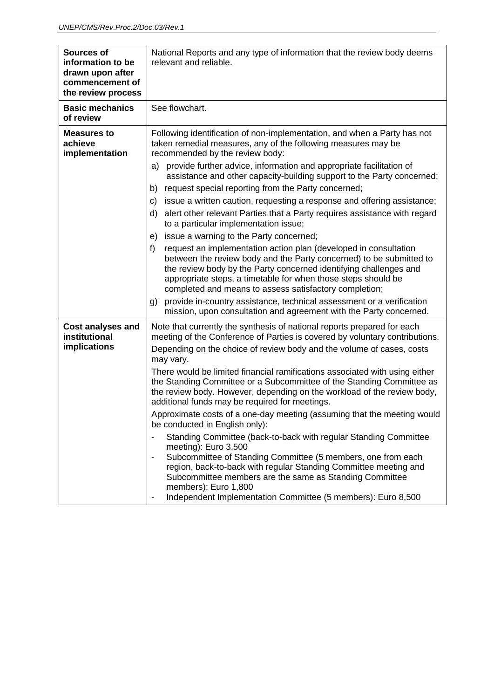| <b>Sources of</b><br>information to be<br>drawn upon after<br>commencement of<br>the review process | National Reports and any type of information that the review body deems<br>relevant and reliable.                                                                                                                                                                                                                                                                                                               |
|-----------------------------------------------------------------------------------------------------|-----------------------------------------------------------------------------------------------------------------------------------------------------------------------------------------------------------------------------------------------------------------------------------------------------------------------------------------------------------------------------------------------------------------|
| <b>Basic mechanics</b><br>of review                                                                 | See flowchart.                                                                                                                                                                                                                                                                                                                                                                                                  |
| <b>Measures to</b><br>achieve<br>implementation                                                     | Following identification of non-implementation, and when a Party has not<br>taken remedial measures, any of the following measures may be<br>recommended by the review body:                                                                                                                                                                                                                                    |
|                                                                                                     | provide further advice, information and appropriate facilitation of<br>a)<br>assistance and other capacity-building support to the Party concerned;                                                                                                                                                                                                                                                             |
|                                                                                                     | request special reporting from the Party concerned;<br>b)                                                                                                                                                                                                                                                                                                                                                       |
|                                                                                                     | issue a written caution, requesting a response and offering assistance;<br>C)                                                                                                                                                                                                                                                                                                                                   |
|                                                                                                     | alert other relevant Parties that a Party requires assistance with regard<br>d)<br>to a particular implementation issue;                                                                                                                                                                                                                                                                                        |
|                                                                                                     | issue a warning to the Party concerned;<br>e)                                                                                                                                                                                                                                                                                                                                                                   |
|                                                                                                     | f)<br>request an implementation action plan (developed in consultation<br>between the review body and the Party concerned) to be submitted to<br>the review body by the Party concerned identifying challenges and<br>appropriate steps, a timetable for when those steps should be<br>completed and means to assess satisfactory completion;                                                                   |
|                                                                                                     | provide in-country assistance, technical assessment or a verification<br>g)<br>mission, upon consultation and agreement with the Party concerned.                                                                                                                                                                                                                                                               |
| <b>Cost analyses and</b><br>institutional<br>implications                                           | Note that currently the synthesis of national reports prepared for each<br>meeting of the Conference of Parties is covered by voluntary contributions.<br>Depending on the choice of review body and the volume of cases, costs<br>may vary.                                                                                                                                                                    |
|                                                                                                     | There would be limited financial ramifications associated with using either<br>the Standing Committee or a Subcommittee of the Standing Committee as<br>the review body. However, depending on the workload of the review body,<br>additional funds may be required for meetings.                                                                                                                               |
|                                                                                                     | Approximate costs of a one-day meeting (assuming that the meeting would<br>be conducted in English only):                                                                                                                                                                                                                                                                                                       |
|                                                                                                     | Standing Committee (back-to-back with regular Standing Committee<br>meeting): Euro 3,500<br>Subcommittee of Standing Committee (5 members, one from each<br>$\qquad \qquad \blacksquare$<br>region, back-to-back with regular Standing Committee meeting and<br>Subcommittee members are the same as Standing Committee<br>members): Euro 1,800<br>Independent Implementation Committee (5 members): Euro 8,500 |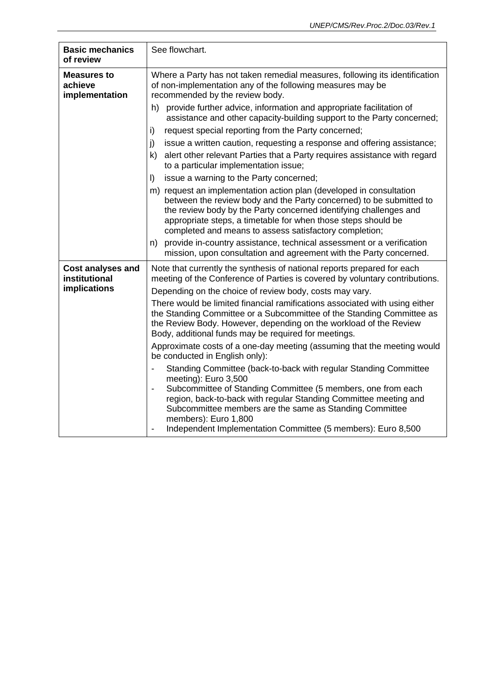| <b>Basic mechanics</b><br>of review                       | See flowchart.                                                                                                                                                                                                                                                                                                                                                                  |
|-----------------------------------------------------------|---------------------------------------------------------------------------------------------------------------------------------------------------------------------------------------------------------------------------------------------------------------------------------------------------------------------------------------------------------------------------------|
| <b>Measures to</b><br>achieve<br>implementation           | Where a Party has not taken remedial measures, following its identification<br>of non-implementation any of the following measures may be<br>recommended by the review body.                                                                                                                                                                                                    |
|                                                           | provide further advice, information and appropriate facilitation of<br>h)<br>assistance and other capacity-building support to the Party concerned;                                                                                                                                                                                                                             |
|                                                           | request special reporting from the Party concerned;<br>i)                                                                                                                                                                                                                                                                                                                       |
|                                                           | j)<br>issue a written caution, requesting a response and offering assistance;<br>k)<br>alert other relevant Parties that a Party requires assistance with regard<br>to a particular implementation issue;                                                                                                                                                                       |
|                                                           | $\vert$<br>issue a warning to the Party concerned;                                                                                                                                                                                                                                                                                                                              |
|                                                           | m) request an implementation action plan (developed in consultation<br>between the review body and the Party concerned) to be submitted to<br>the review body by the Party concerned identifying challenges and<br>appropriate steps, a timetable for when those steps should be<br>completed and means to assess satisfactory completion;                                      |
|                                                           | n) provide in-country assistance, technical assessment or a verification<br>mission, upon consultation and agreement with the Party concerned.                                                                                                                                                                                                                                  |
| <b>Cost analyses and</b><br>institutional<br>implications | Note that currently the synthesis of national reports prepared for each<br>meeting of the Conference of Parties is covered by voluntary contributions.                                                                                                                                                                                                                          |
|                                                           | Depending on the choice of review body, costs may vary.                                                                                                                                                                                                                                                                                                                         |
|                                                           | There would be limited financial ramifications associated with using either<br>the Standing Committee or a Subcommittee of the Standing Committee as<br>the Review Body. However, depending on the workload of the Review<br>Body, additional funds may be required for meetings.                                                                                               |
|                                                           | Approximate costs of a one-day meeting (assuming that the meeting would<br>be conducted in English only):                                                                                                                                                                                                                                                                       |
|                                                           | Standing Committee (back-to-back with regular Standing Committee<br>meeting): Euro 3,500<br>Subcommittee of Standing Committee (5 members, one from each<br>region, back-to-back with regular Standing Committee meeting and<br>Subcommittee members are the same as Standing Committee<br>members): Euro 1,800<br>Independent Implementation Committee (5 members): Euro 8,500 |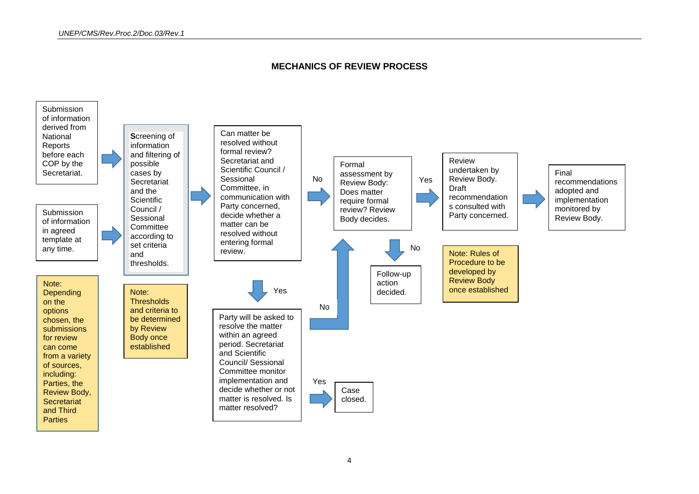

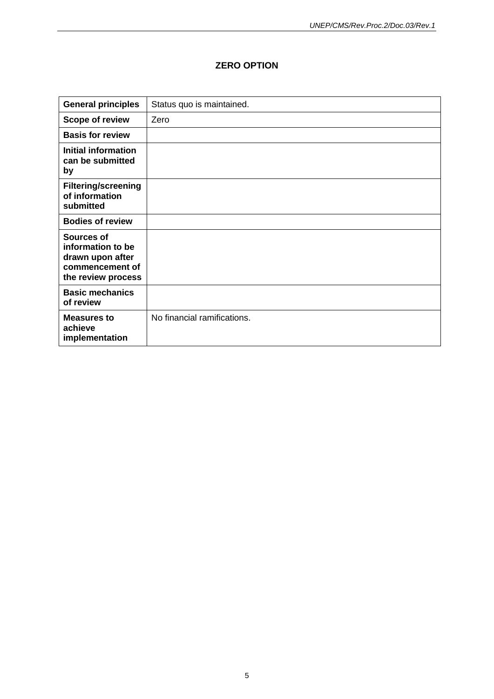#### **ZERO OPTION**

| <b>General principles</b>                                                                    | Status quo is maintained.   |
|----------------------------------------------------------------------------------------------|-----------------------------|
| <b>Scope of review</b>                                                                       | Zero                        |
| <b>Basis for review</b>                                                                      |                             |
| Initial information<br>can be submitted<br>by                                                |                             |
| <b>Filtering/screening</b><br>of information<br>submitted                                    |                             |
| <b>Bodies of review</b>                                                                      |                             |
| Sources of<br>information to be<br>drawn upon after<br>commencement of<br>the review process |                             |
| <b>Basic mechanics</b><br>of review                                                          |                             |
| <b>Measures to</b><br>achieve<br>implementation                                              | No financial ramifications. |